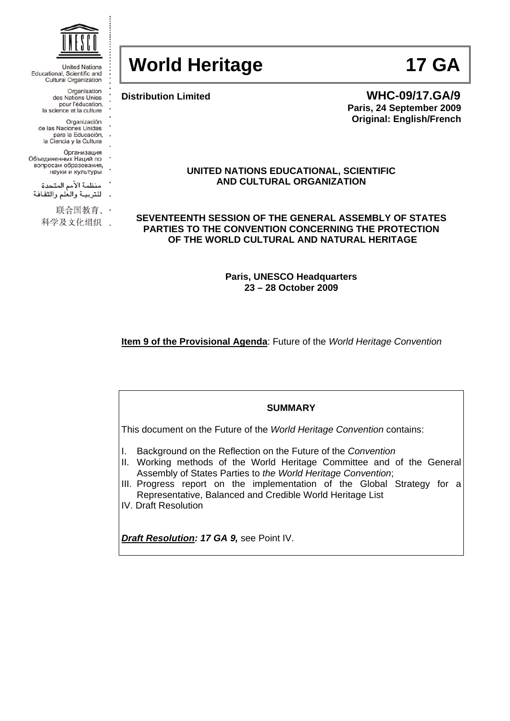

**United Nations** Educational, Scientific and Cultural Organization

> Organisation des Nations Unies<br>pour l'éducation, la science et la culture

- Organización
- de las Naciones Unidas para la Educación,
- la Ciencia y la Cultura
	- Организация
- Объединенных Наций по
- вопросам образования, науки и культуры
- منظمة الأمم المتحدة
- للتربية والعلم والثقافة
- 

联合国教育、·

科学及文化组织 .

# **World Heritage 17 GA**

**Distribution Limited WHC-09/17.GA/9 Paris, 24 September 2009 Original: English/French** 

## **UNITED NATIONS EDUCATIONAL, SCIENTIFIC AND CULTURAL ORGANIZATION**

**SEVENTEENTH SESSION OF THE GENERAL ASSEMBLY OF STATES PARTIES TO THE CONVENTION CONCERNING THE PROTECTION OF THE WORLD CULTURAL AND NATURAL HERITAGE** 

> **Paris, UNESCO Headquarters 23 – 28 October 2009**

**Item 9 of the Provisional Agenda**: Future of the *World Heritage Convention*

#### **SUMMARY**

This document on the Future of the *World Heritage Convention* contains:

- I. Background on the Reflection on the Future of the *Convention*
- II. Working methods of the World Heritage Committee and of the General Assembly of States Parties to *the World Heritage Convention*;
- III. Progress report on the implementation of the Global Strategy for a Representative, Balanced and Credible World Heritage List
- IV. Draft Resolution

*Draft Resolution: 17 GA 9,* see Point IV.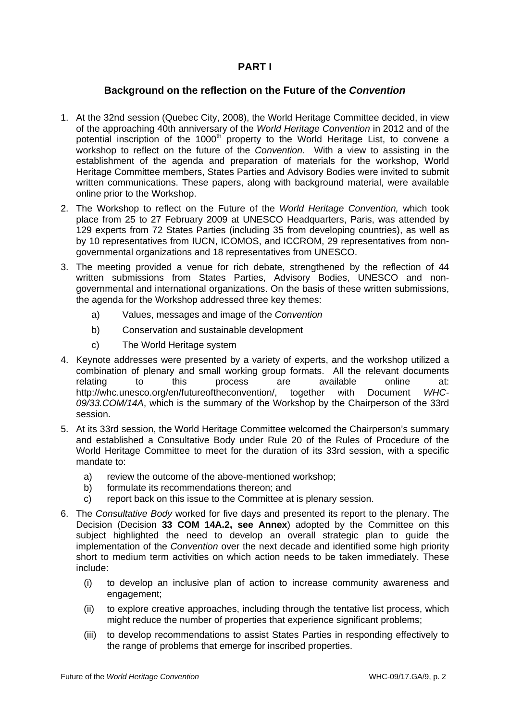# **PART I**

# **Background on the reflection on the Future of the** *Convention*

- 1. At the 32nd session (Quebec City, 2008), the World Heritage Committee decided, in view of the approaching 40th anniversary of the *World Heritage Convention* in 2012 and of the potential inscription of the 1000<sup>th</sup> property to the World Heritage List, to convene a workshop to reflect on the future of the *Convention*. With a view to assisting in the establishment of the agenda and preparation of materials for the workshop, World Heritage Committee members, States Parties and Advisory Bodies were invited to submit written communications. These papers, along with background material, were available online prior to the Workshop.
- 2. The Workshop to reflect on the Future of the *World Heritage Convention,* which took place from 25 to 27 February 2009 at UNESCO Headquarters, Paris, was attended by 129 experts from 72 States Parties (including 35 from developing countries), as well as by 10 representatives from IUCN, ICOMOS, and ICCROM, 29 representatives from nongovernmental organizations and 18 representatives from UNESCO.
- 3. The meeting provided a venue for rich debate, strengthened by the reflection of 44 written submissions from States Parties, Advisory Bodies, UNESCO and nongovernmental and international organizations. On the basis of these written submissions, the agenda for the Workshop addressed three key themes:
	- a) Values, messages and image of the *Convention*
	- b) Conservation and sustainable development
	- c) The World Heritage system
- 4. Keynote addresses were presented by a variety of experts, and the workshop utilized a combination of plenary and small working group formats. All the relevant documents relating to this process are available online at: [http://whc.unesco.org/en/futureoftheconvention/,](http://whc.unesco.org/en/futureoftheconvention/) together with Document *WHC-09/33.COM/14A*, which is the summary of the Workshop by the Chairperson of the 33rd session.
- 5. At its 33rd session, the World Heritage Committee welcomed the Chairperson's summary and established a Consultative Body under Rule 20 of the Rules of Procedure of the World Heritage Committee to meet for the duration of its 33rd session, with a specific mandate to:
	- a) review the outcome of the above-mentioned workshop;
	- b) formulate its recommendations thereon; and
	- c) report back on this issue to the Committee at is plenary session.
- 6. The *Consultative Body* worked for five days and presented its report to the plenary. The Decision (Decision **33 COM 14A.2, see Annex**) adopted by the Committee on this subject highlighted the need to develop an overall strategic plan to guide the implementation of the *Convention* over the next decade and identified some high priority short to medium term activities on which action needs to be taken immediately. These include:
	- (i) to develop an inclusive plan of action to increase community awareness and engagement;
	- (ii) to explore creative approaches, including through the tentative list process, which might reduce the number of properties that experience significant problems;
	- (iii) to develop recommendations to assist States Parties in responding effectively to the range of problems that emerge for inscribed properties.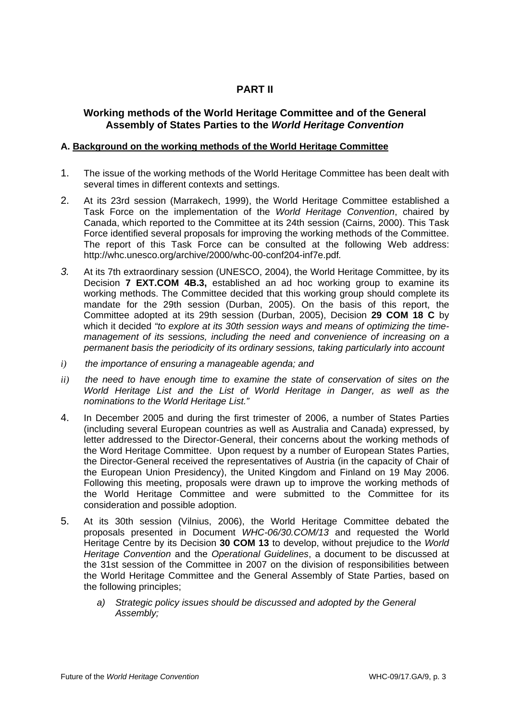# **PART II**

# **Working methods of the World Heritage Committee and of the General Assembly of States Parties to the** *World Heritage Convention*

## **A. Background on the working methods of the World Heritage Committee**

- 1. The issue of the working methods of the World Heritage Committee has been dealt with several times in different contexts and settings.
- 2. At its 23rd session (Marrakech, 1999), the World Heritage Committee established a Task Force on the implementation of the *World Heritage Convention*, chaired by Canada, which reported to the Committee at its 24th session (Cairns, 2000). This Task Force identified several proposals for improving the working methods of the Committee. The report of this Task Force can be consulted at the following Web address: <http://whc.unesco.org/archive/2000/whc-00-conf204-inf7e.pdf>*.*
- *3.* At its 7th extraordinary session (UNESCO, 2004), the World Heritage Committee, by its Decision **7 EXT.COM 4B.3,** established an ad hoc working group to examine its working methods. The Committee decided that this working group should complete its mandate for the 29th session (Durban, 2005). On the basis of this report, the Committee adopted at its 29th session (Durban, 2005), Decision **29 COM 18 C** by which it decided *"to explore at its 30th session ways and means of optimizing the timemanagement of its sessions, including the need and convenience of increasing on a permanent basis the periodicity of its ordinary sessions, taking particularly into account*
- *i) the importance of ensuring a manageable agenda; and*
- *ii) the need to have enough time to examine the state of conservation of sites on the World Heritage List and the List of World Heritage in Danger, as well as the nominations to the World Heritage List."*
- 4. In December 2005 and during the first trimester of 2006, a number of States Parties (including several European countries as well as Australia and Canada) expressed, by letter addressed to the Director-General, their concerns about the working methods of the Word Heritage Committee. Upon request by a number of European States Parties, the Director-General received the representatives of Austria (in the capacity of Chair of the European Union Presidency), the United Kingdom and Finland on 19 May 2006. Following this meeting, proposals were drawn up to improve the working methods of the World Heritage Committee and were submitted to the Committee for its consideration and possible adoption.
- 5. At its 30th session (Vilnius, 2006), the World Heritage Committee debated the proposals presented in Document *WHC-06/30.COM/13* and requested the World Heritage Centre by its Decision **30 COM 13** to develop, without prejudice to the *World Heritage Convention* and the *Operational Guidelines*, a document to be discussed at the 31st session of the Committee in 2007 on the division of responsibilities between the World Heritage Committee and the General Assembly of State Parties, based on the following principles;
	- *a) Strategic policy issues should be discussed and adopted by the General Assembly;*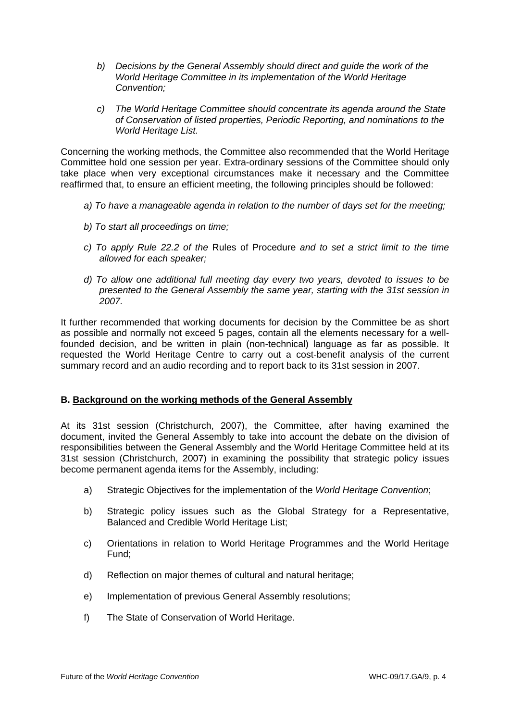- *b) Decisions by the General Assembly should direct and guide the work of the World Heritage Committee in its implementation of the World Heritage Convention;*
- *c) The World Heritage Committee should concentrate its agenda around the State of Conservation of listed properties, Periodic Reporting, and nominations to the World Heritage List.*

Concerning the working methods, the Committee also recommended that the World Heritage Committee hold one session per year. Extra-ordinary sessions of the Committee should only take place when very exceptional circumstances make it necessary and the Committee reaffirmed that, to ensure an efficient meeting, the following principles should be followed:

- *a) To have a manageable agenda in relation to the number of days set for the meeting;*
- *b) To start all proceedings on time;*
- *c) To apply Rule 22.2 of the* Rules of Procedure *and to set a strict limit to the time allowed for each speaker;*
- *d) To allow one additional full meeting day every two years, devoted to issues to be presented to the General Assembly the same year, starting with the 31st session in 2007.*

It further recommended that working documents for decision by the Committee be as short as possible and normally not exceed 5 pages, contain all the elements necessary for a wellfounded decision, and be written in plain (non-technical) language as far as possible. It requested the World Heritage Centre to carry out a cost-benefit analysis of the current summary record and an audio recording and to report back to its 31st session in 2007.

#### **B. Background on the working methods of the General Assembly**

At its 31st session (Christchurch, 2007), the Committee, after having examined the document, invited the General Assembly to take into account the debate on the division of responsibilities between the General Assembly and the World Heritage Committee held at its 31st session (Christchurch, 2007) in examining the possibility that strategic policy issues become permanent agenda items for the Assembly, including:

- a) Strategic Objectives for the implementation of the *World Heritage Convention*;
- b) Strategic policy issues such as the Global Strategy for a Representative, Balanced and Credible World Heritage List;
- c) Orientations in relation to World Heritage Programmes and the World Heritage Fund;
- d) Reflection on major themes of cultural and natural heritage;
- e) Implementation of previous General Assembly resolutions;
- f) The State of Conservation of World Heritage.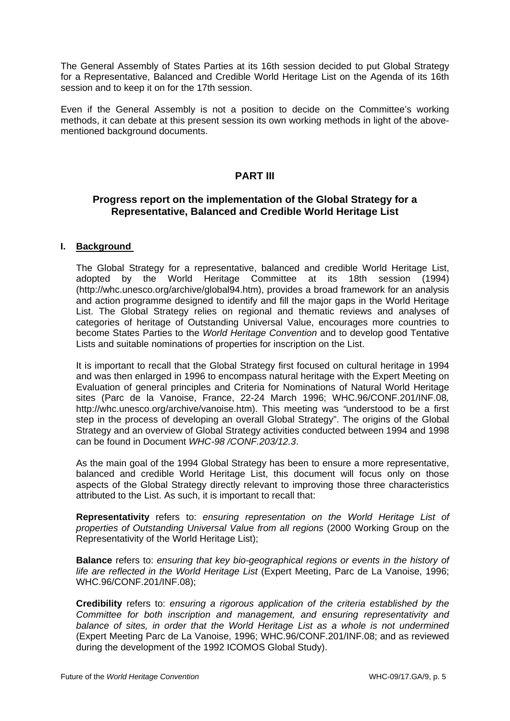The General Assembly of States Parties at its 16th session decided to put Global Strategy for a Representative, Balanced and Credible World Heritage List on the Agenda of its 16th session and to keep it on for the 17th session.

Even if the General Assembly is not a position to decide on the Committee's working methods, it can debate at this present session its own working methods in light of the abovementioned background documents.

# **PART III**

# **Progress report on the implementation of the Global Strategy for a Representative, Balanced and Credible World Heritage List**

## **I. Background**

The Global Strategy for a representative, balanced and credible World Heritage List, adopted by the World Heritage Committee at its 18th session (1994) ([http://whc.unesco.org/archive/global94.htm\)](http://whc.unesco.org/archive/global94.htm), provides a broad framework for an analysis and action programme designed to identify and fill the major gaps in the World Heritage List. The Global Strategy relies on regional and thematic reviews and analyses of categories of heritage of Outstanding Universal Value, encourages more countries to become States Parties to the *World Heritage Convention* and to develop good Tentative Lists and suitable nominations of properties for inscription on the List.

It is important to recall that the Global Strategy first focused on cultural heritage in 1994 and was then enlarged in 1996 to encompass natural heritage with the Expert Meeting on Evaluation of general principles and Criteria for Nominations of Natural World Heritage sites (Parc de la Vanoise, France, 22-24 March 1996; WHC.96/CONF.201/INF.08*,*  <http://whc.unesco.org/archive/vanoise.htm>). This meeting was *"*understood to be a first step in the process of developing an overall Global Strategy". The origins of the Global Strategy and an overview of Global Strategy activities conducted between 1994 and 1998 can be found in Document *WHC-98 /CONF.203/12.3*.

As the main goal of the 1994 Global Strategy has been to ensure a more representative, balanced and credible World Heritage List, this document will focus only on those aspects of the Global Strategy directly relevant to improving those three characteristics attributed to the List. As such, it is important to recall that:

**Representativity** refers to: *ensuring representation on the World Heritage List of properties of Outstanding Universal Value from all regions* (2000 Working Group on the Representativity of the World Heritage List);

**Balance** refers to: *ensuring that key bio-geographical regions or events in the history of life are reflected in the World Heritage List* (Expert Meeting, Parc de La Vanoise, 1996; WHC.96/CONF.201/INF.08);

**Credibility** refers to: *ensuring a rigorous application of the criteria established by the Committee for both inscription and management, and ensuring representativity and balance of sites, in order that the World Heritage List as a whole is not undermined* (Expert Meeting Parc de La Vanoise, 1996; WHC.96/CONF.201/INF.08; and as reviewed during the development of the 1992 ICOMOS Global Study).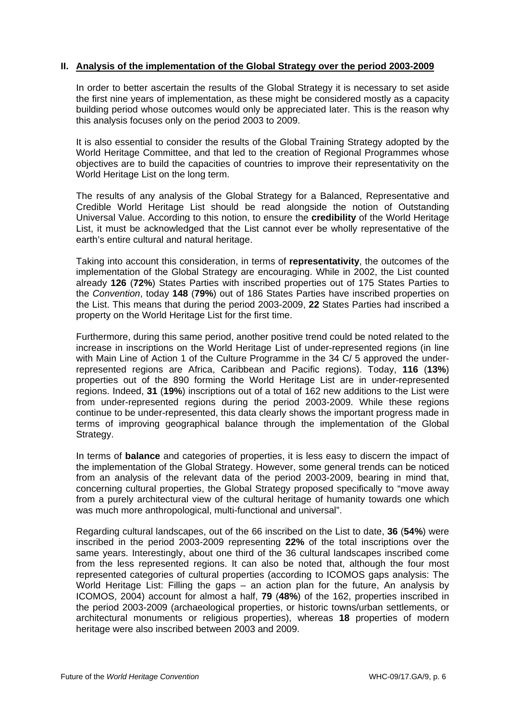## **II. Analysis of the implementation of the Global Strategy over the period 2003-2009**

In order to better ascertain the results of the Global Strategy it is necessary to set aside the first nine years of implementation, as these might be considered mostly as a capacity building period whose outcomes would only be appreciated later. This is the reason why this analysis focuses only on the period 2003 to 2009.

It is also essential to consider the results of the Global Training Strategy adopted by the World Heritage Committee, and that led to the creation of Regional Programmes whose objectives are to build the capacities of countries to improve their representativity on the World Heritage List on the long term.

The results of any analysis of the Global Strategy for a Balanced, Representative and Credible World Heritage List should be read alongside the notion of Outstanding Universal Value. According to this notion, to ensure the **credibility** of the World Heritage List, it must be acknowledged that the List cannot ever be wholly representative of the earth's entire cultural and natural heritage.

Taking into account this consideration, in terms of **representativity**, the outcomes of the implementation of the Global Strategy are encouraging. While in 2002, the List counted already **126** (**72%**) States Parties with inscribed properties out of 175 States Parties to the *Convention*, today **148** (**79%**) out of 186 States Parties have inscribed properties on the List. This means that during the period 2003-2009, **22** States Parties had inscribed a property on the World Heritage List for the first time.

Furthermore, during this same period, another positive trend could be noted related to the increase in inscriptions on the World Heritage List of under-represented regions (in line with Main Line of Action 1 of the Culture Programme in the 34 C/ 5 approved the underrepresented regions are Africa, Caribbean and Pacific regions). Today, **116** (**13%**) properties out of the 890 forming the World Heritage List are in under-represented regions. Indeed, **31** (**19%**) inscriptions out of a total of 162 new additions to the List were from under-represented regions during the period 2003-2009. While these regions continue to be under-represented, this data clearly shows the important progress made in terms of improving geographical balance through the implementation of the Global Strategy.

In terms of **balance** and categories of properties, it is less easy to discern the impact of the implementation of the Global Strategy. However, some general trends can be noticed from an analysis of the relevant data of the period 2003-2009, bearing in mind that, concerning cultural properties, the Global Strategy proposed specifically to "move away from a purely architectural view of the cultural heritage of humanity towards one which was much more anthropological, multi-functional and universal".

Regarding cultural landscapes, out of the 66 inscribed on the List to date, **36** (**54%**) were inscribed in the period 2003-2009 representing **22%** of the total inscriptions over the same years. Interestingly, about one third of the 36 cultural landscapes inscribed come from the less represented regions. It can also be noted that, although the four most represented categories of cultural properties (according to ICOMOS gaps analysis: The World Heritage List: Filling the gaps – an action plan for the future, An analysis by ICOMOS, 2004) account for almost a half, **79** (**48%**) of the 162, properties inscribed in the period 2003-2009 (archaeological properties, or historic towns/urban settlements, or architectural monuments or religious properties), whereas **18** properties of modern heritage were also inscribed between 2003 and 2009.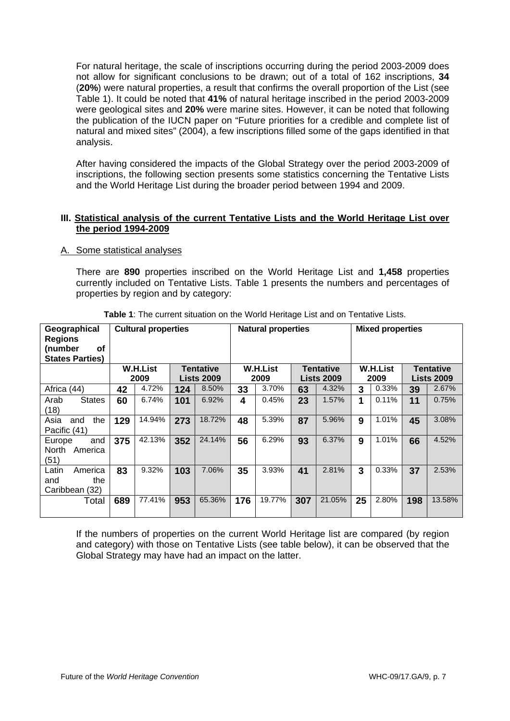For natural heritage, the scale of inscriptions occurring during the period 2003-2009 does not allow for significant conclusions to be drawn; out of a total of 162 inscriptions, **34** (**20%**) were natural properties, a result that confirms the overall proportion of the List (see Table 1). It could be noted that **41%** of natural heritage inscribed in the period 2003-2009 were geological sites and **20%** were marine sites. However, it can be noted that following the publication of the IUCN paper on "Future priorities for a credible and complete list of natural and mixed sites" (2004), a few inscriptions filled some of the gaps identified in that analysis.

After having considered the impacts of the Global Strategy over the period 2003-2009 of inscriptions, the following section presents some statistics concerning the Tentative Lists and the World Heritage List during the broader period between 1994 and 2009.

## **III. Statistical analysis of the current Tentative Lists and the World Heritage List over the period 1994-2009**

#### A. Some statistical analyses

There are **890** properties inscribed on the World Heritage List and **1,458** properties currently included on Tentative Lists. Table 1 presents the numbers and percentages of properties by region and by category:

| Geographical<br><b>Regions</b><br>of<br>(number<br><b>States Parties)</b> | <b>Cultural properties</b> |        |                   |        | <b>Natural properties</b> |        |                   |        | <b>Mixed properties</b> |       |                   |        |
|---------------------------------------------------------------------------|----------------------------|--------|-------------------|--------|---------------------------|--------|-------------------|--------|-------------------------|-------|-------------------|--------|
|                                                                           | <b>W.H.List</b>            |        | <b>Tentative</b>  |        | <b>W.H.List</b>           |        | <b>Tentative</b>  |        | <b>W.H.List</b>         |       | <b>Tentative</b>  |        |
|                                                                           | 2009                       |        | <b>Lists 2009</b> |        | 2009                      |        | <b>Lists 2009</b> |        | 2009                    |       | <b>Lists 2009</b> |        |
| Africa (44)                                                               | 42                         | 4.72%  | 124               | 8.50%  | 33                        | 3.70%  | 63                | 4.32%  | 3                       | 0.33% | 39                | 2.67%  |
| <b>States</b><br>Arab<br>(18)                                             | 60                         | 6.74%  | 101               | 6.92%  | 4                         | 0.45%  | 23                | 1.57%  | 1                       | 0.11% | 11                | 0.75%  |
| the<br>Asia<br>and<br>Pacific (41)                                        | 129                        | 14.94% | 273               | 18.72% | 48                        | 5.39%  | 87                | 5.96%  | 9                       | 1.01% | 45                | 3.08%  |
| and<br>Europe<br>North<br>America<br>(51)                                 | 375                        | 42.13% | 352               | 24.14% | 56                        | 6.29%  | 93                | 6.37%  | 9                       | 1.01% | 66                | 4.52%  |
| Latin<br>America<br>the<br>and<br>Caribbean (32)                          | 83                         | 9.32%  | 103               | 7.06%  | 35                        | 3.93%  | 41                | 2.81%  | 3                       | 0.33% | 37                | 2.53%  |
| Total                                                                     | 689                        | 77.41% | 953               | 65.36% | 176                       | 19.77% | 307               | 21.05% | 25                      | 2.80% | 198               | 13.58% |

**Table 1**: The current situation on the World Heritage List and on Tentative Lists.

If the numbers of properties on the current World Heritage list are compared (by region and category) with those on Tentative Lists (see table below), it can be observed that the Global Strategy may have had an impact on the latter.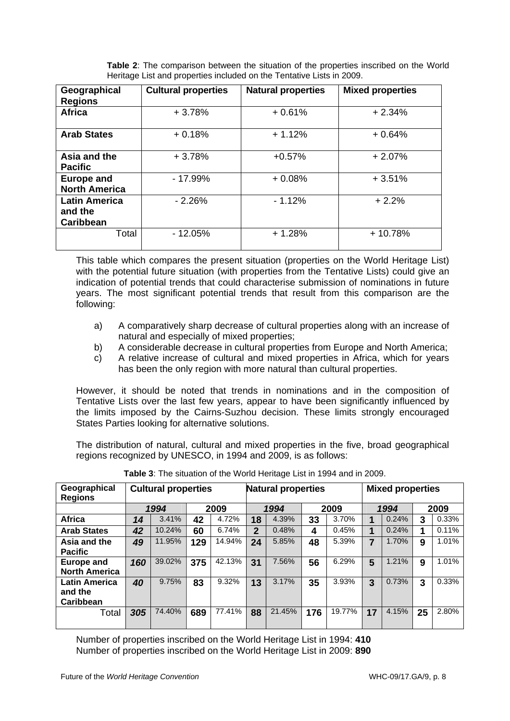| <b>Table 2:</b> The comparison between the situation of the properties inscribed on the World |
|-----------------------------------------------------------------------------------------------|
| Heritage List and properties included on the Tentative Lists in 2009.                         |

| Geographical<br><b>Regions</b>               | <b>Cultural properties</b> | <b>Natural properties</b> | <b>Mixed properties</b> |
|----------------------------------------------|----------------------------|---------------------------|-------------------------|
| <b>Africa</b>                                | $+3.78%$                   | $+0.61%$                  | $+2.34%$                |
| <b>Arab States</b>                           | $+0.18%$                   | $+1.12%$                  | $+0.64%$                |
| Asia and the<br><b>Pacific</b>               | $+3.78%$                   | $+0.57%$                  | $+2.07%$                |
| <b>Europe and</b><br><b>North America</b>    | $-17.99%$                  | $+0.08%$                  | $+3.51%$                |
| <b>Latin America</b><br>and the<br>Caribbean | $-2.26%$                   | $-1.12%$                  | $+2.2%$                 |
| Total                                        | $-12.05%$                  | $+1.28%$                  | $+10.78%$               |

This table which compares the present situation (properties on the World Heritage List) with the potential future situation (with properties from the Tentative Lists) could give an indication of potential trends that could characterise submission of nominations in future years. The most significant potential trends that result from this comparison are the following:

- a) A comparatively sharp decrease of cultural properties along with an increase of natural and especially of mixed properties;
- b) A considerable decrease in cultural properties from Europe and North America;
- c) A relative increase of cultural and mixed properties in Africa, which for years has been the only region with more natural than cultural properties.

However, it should be noted that trends in nominations and in the composition of Tentative Lists over the last few years, appear to have been significantly influenced by the limits imposed by the Cairns-Suzhou decision. These limits strongly encouraged States Parties looking for alternative solutions.

The distribution of natural, cultural and mixed properties in the five, broad geographical regions recognized by UNESCO, in 1994 and 2009, is as follows:

| Geographical<br><b>Regions</b>               | <b>Cultural properties</b> |        |      |        | <b>Natural properties</b> |        |      | <b>Mixed properties</b> |                |       |      |       |
|----------------------------------------------|----------------------------|--------|------|--------|---------------------------|--------|------|-------------------------|----------------|-------|------|-------|
|                                              | 1994                       |        | 2009 |        | 1994                      |        | 2009 |                         | 1994           |       | 2009 |       |
| <b>Africa</b>                                | 14                         | 3.41%  | 42   | 4.72%  | 18                        | 4.39%  | 33   | 3.70%                   | 1              | 0.24% | 3    | 0.33% |
| <b>Arab States</b>                           | 42                         | 10.24% | 60   | 6.74%  | $\mathbf{2}$              | 0.48%  | 4    | 0.45%                   | 1              | 0.24% | 1    | 0.11% |
| Asia and the<br><b>Pacific</b>               | 49                         | 11.95% | 129  | 14.94% | 24                        | 5.85%  | 48   | 5.39%                   | $\overline{7}$ | 1.70% | 9    | 1.01% |
| Europe and<br><b>North America</b>           | 160                        | 39.02% | 375  | 42.13% | 31                        | 7.56%  | 56   | 6.29%                   | 5              | 1.21% | 9    | 1.01% |
| <b>Latin America</b><br>and the<br>Caribbean | 40                         | 9.75%  | 83   | 9.32%  | 13                        | 3.17%  | 35   | 3.93%                   | 3              | 0.73% | 3    | 0.33% |
| Total                                        | 305                        | 74.40% | 689  | 77.41% | 88                        | 21.45% | 176  | 19.77%                  | 17             | 4.15% | 25   | 2.80% |

**Table 3**: The situation of the World Heritage List in 1994 and in 2009.

 Number of properties inscribed on the World Heritage List in 1994: **410**  Number of properties inscribed on the World Heritage List in 2009: **890**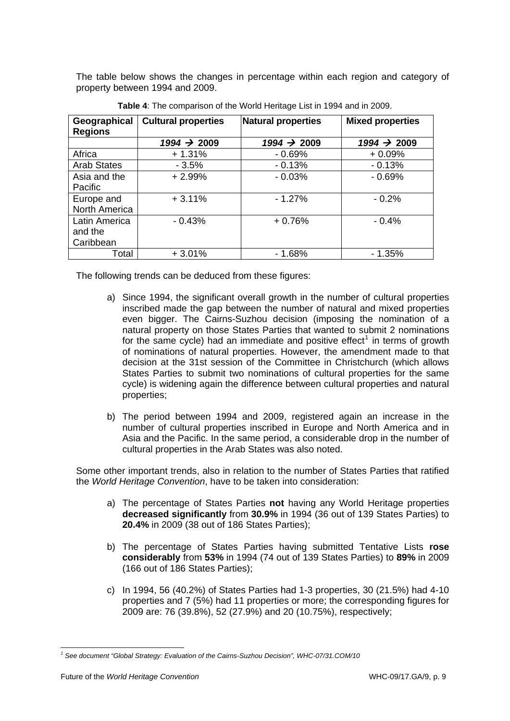<span id="page-8-0"></span>The table below shows the changes in percentage within each region and category of property between 1994 and 2009.

| Geographical<br><b>Regions</b> | <b>Cultural properties</b> | Natural properties | <b>Mixed properties</b> |  |  |  |
|--------------------------------|----------------------------|--------------------|-------------------------|--|--|--|
|                                | $1994 \div 2009$           | $1994 \div 2009$   | $1994 \div 2009$        |  |  |  |
| Africa                         | $+1.31%$                   | $-0.69%$           | $+0.09%$                |  |  |  |
| <b>Arab States</b>             | $-3.5%$                    | $-0.13%$           | $-0.13%$                |  |  |  |
| Asia and the                   | $+2.99%$                   | $-0.03%$           | $-0.69%$                |  |  |  |
| Pacific                        |                            |                    |                         |  |  |  |
| Europe and                     | $+3.11%$                   | $-1.27%$           | $-0.2%$                 |  |  |  |
| North America                  |                            |                    |                         |  |  |  |
| Latin America                  | $-0.43%$                   | $+0.76%$           | $-0.4%$                 |  |  |  |
| and the                        |                            |                    |                         |  |  |  |
| Caribbean                      |                            |                    |                         |  |  |  |
| Total                          | $+3.01%$                   | $-1.68%$           | $-1.35%$                |  |  |  |

**Table 4**: The comparison of the World Heritage List in 1994 and in 2009.

The following trends can be deduced from these figures:

- a) Since 1994, the significant overall growth in the number of cultural properties inscribed made the gap between the number of natural and mixed properties even bigger. The Cairns-Suzhou decision (imposing the nomination of a natural property on those States Parties that wanted to submit 2 nominations for the same cycle) had an immediate and positive effect<sup>[1](#page-8-0)</sup> in terms of growth of nominations of natural properties. However, the amendment made to that decision at the 31st session of the Committee in Christchurch (which allows States Parties to submit two nominations of cultural properties for the same cycle) is widening again the difference between cultural properties and natural properties;
- b) The period between 1994 and 2009, registered again an increase in the number of cultural properties inscribed in Europe and North America and in Asia and the Pacific. In the same period, a considerable drop in the number of cultural properties in the Arab States was also noted.

Some other important trends, also in relation to the number of States Parties that ratified the *World Heritage Convention*, have to be taken into consideration:

- a) The percentage of States Parties **not** having any World Heritage properties **decreased significantly** from **30.9%** in 1994 (36 out of 139 States Parties) to **20.4%** in 2009 (38 out of 186 States Parties);
- b) The percentage of States Parties having submitted Tentative Lists **rose considerably** from **53%** in 1994 (74 out of 139 States Parties) to **89%** in 2009 (166 out of 186 States Parties);
- c) In 1994, 56 (40.2%) of States Parties had 1-3 properties, 30 (21.5%) had 4-10 properties and 7 (5%) had 11 properties or more; the corresponding figures for 2009 are: 76 (39.8%), 52 (27.9%) and 20 (10.75%), respectively;

<sup>-</sup>*1 See document "Global Strategy: Evaluation of the Cairns-Suzhou Decision", WHC-07/31.COM/10*